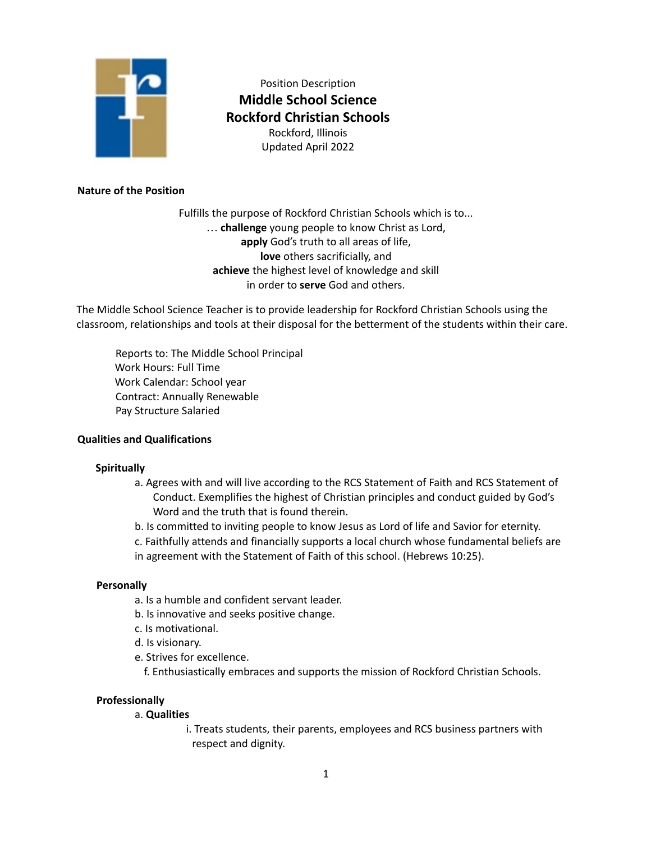

Position Description **Middle School Science Rockford Christian Schools** Rockford, Illinois Updated April 2022

# **Nature of the Position**

Fulfills the purpose of Rockford Christian Schools which is to... … **challenge** young people to know Christ as Lord, **apply** God's truth to all areas of life, **love** others sacrificially, and **achieve** the highest level of knowledge and skill in order to **serve** God and others.

The Middle School Science Teacher is to provide leadership for Rockford Christian Schools using the classroom, relationships and tools at their disposal for the betterment of the students within their care.

Reports to: The Middle School Principal Work Hours: Full Time Work Calendar: School year Contract: Annually Renewable Pay Structure Salaried

#### **Qualities and Qualifications**

#### **Spiritually**

a. Agrees with and will live according to the RCS Statement of Faith and RCS Statement of Conduct. Exemplifies the highest of Christian principles and conduct guided by God's Word and the truth that is found therein.

b. Is committed to inviting people to know Jesus as Lord of life and Savior for eternity.

c. Faithfully attends and financially supports a local church whose fundamental beliefs are in agreement with the Statement of Faith of this school. (Hebrews 10:25).

#### **Personally**

- a. Is a humble and confident servant leader.
- b. Is innovative and seeks positive change.
- c. Is motivational.
- d. Is visionary.
- e. Strives for excellence.

f. Enthusiastically embraces and supports the mission of Rockford Christian Schools.

#### **Professionally**

a. **Qualities**

i. Treats students, their parents, employees and RCS business partners with respect and dignity.